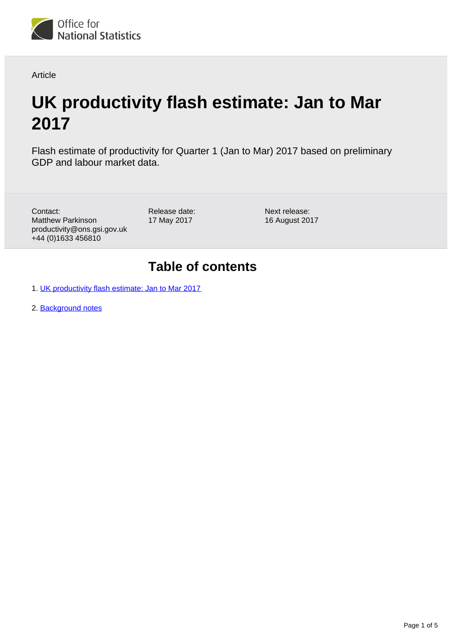

Article

# **UK productivity flash estimate: Jan to Mar 2017**

Flash estimate of productivity for Quarter 1 (Jan to Mar) 2017 based on preliminary GDP and labour market data.

Contact: Matthew Parkinson productivity@ons.gsi.gov.uk +44 (0)1633 456810

Release date: 17 May 2017

Next release: 16 August 2017

### **Table of contents**

- 1. [UK productivity flash estimate: Jan to Mar 2017](#page-1-0)
- 2. [Background notes](#page-4-0)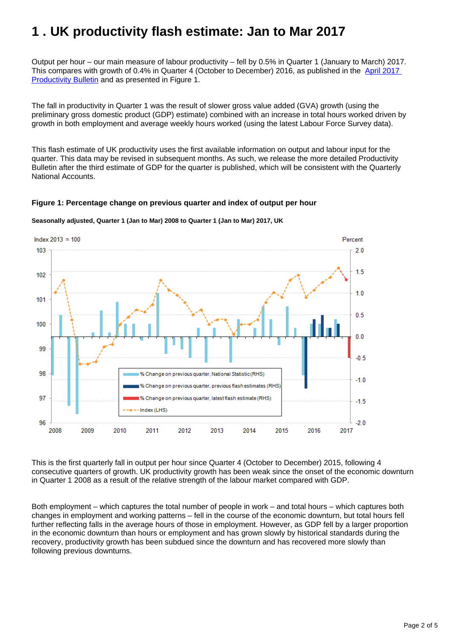# <span id="page-1-0"></span>**1 . UK productivity flash estimate: Jan to Mar 2017**

Output per hour – our main measure of labour productivity – fell by 0.5% in Quarter 1 (January to March) 2017. This compares with growth of 0.4% in Quarter 4 (October to December) 2016, as published in the April 2017 [Productivity Bulletin](https://www.ons.gov.uk/employmentandlabourmarket/peopleinwork/labourproductivity/bulletins/labourproductivity/octtodec2016) and as presented in Figure 1.

The fall in productivity in Quarter 1 was the result of slower gross value added (GVA) growth (using the preliminary gross domestic product (GDP) estimate) combined with an increase in total hours worked driven by growth in both employment and average weekly hours worked (using the latest Labour Force Survey data).

This flash estimate of UK productivity uses the first available information on output and labour input for the quarter. This data may be revised in subsequent months. As such, we release the more detailed Productivity Bulletin after the third estimate of GDP for the quarter is published, which will be consistent with the Quarterly National Accounts.

#### **Figure 1: Percentage change on previous quarter and index of output per hour**



**Seasonally adjusted, Quarter 1 (Jan to Mar) 2008 to Quarter 1 (Jan to Mar) 2017, UK**

This is the first quarterly fall in output per hour since Quarter 4 (October to December) 2015, following 4 consecutive quarters of growth. UK productivity growth has been weak since the onset of the economic downturn in Quarter 1 2008 as a result of the relative strength of the labour market compared with GDP.

Both employment – which captures the total number of people in work – and total hours – which captures both changes in employment and working patterns – fell in the course of the economic downturn, but total hours fell further reflecting falls in the average hours of those in employment. However, as GDP fell by a larger proportion in the economic downturn than hours or employment and has grown slowly by historical standards during the recovery, productivity growth has been subdued since the downturn and has recovered more slowly than following previous downturns.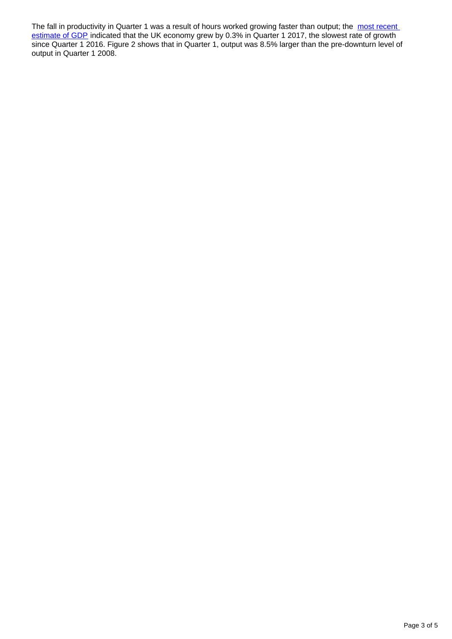The fall in productivity in Quarter 1 was a result of hours worked growing faster than output; the most recent [estimate of GDP](https://www.ons.gov.uk/economy/grossdomesticproductgdp/bulletins/grossdomesticproductpreliminaryestimate/latest) indicated that the UK economy grew by 0.3% in Quarter 1 2017, the slowest rate of growth since Quarter 1 2016. Figure 2 shows that in Quarter 1, output was 8.5% larger than the pre-downturn level of output in Quarter 1 2008.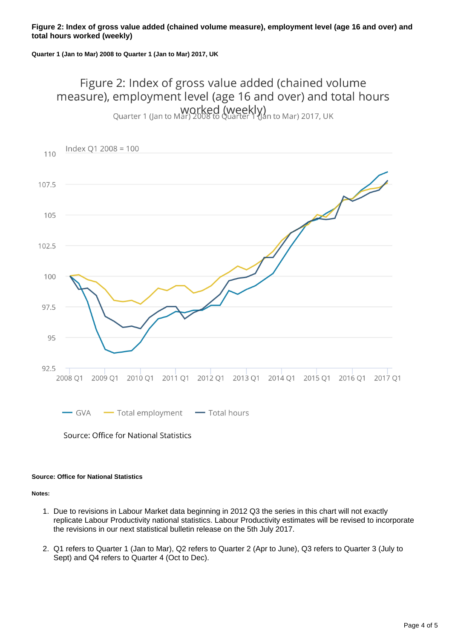#### **Figure 2: Index of gross value added (chained volume measure), employment level (age 16 and over) and total hours worked (weekly)**

**Quarter 1 (Jan to Mar) 2008 to Quarter 1 (Jan to Mar) 2017, UK**

### Figure 2: Index of gross value added (chained volume measure), employment level (age 16 and over) and total hours Worked (weekly)<br>Quarter 1 (Jan to Mar) 2008 to Quarter 1 (Jan to Mar) 2017, UK



Source: Office for National Statistics

#### **Source: Office for National Statistics**

**Notes:**

- 1. Due to revisions in Labour Market data beginning in 2012 Q3 the series in this chart will not exactly replicate Labour Productivity national statistics. Labour Productivity estimates will be revised to incorporate the revisions in our next statistical bulletin release on the 5th July 2017.
- 2. Q1 refers to Quarter 1 (Jan to Mar), Q2 refers to Quarter 2 (Apr to June), Q3 refers to Quarter 3 (July to Sept) and Q4 refers to Quarter 4 (Oct to Dec).